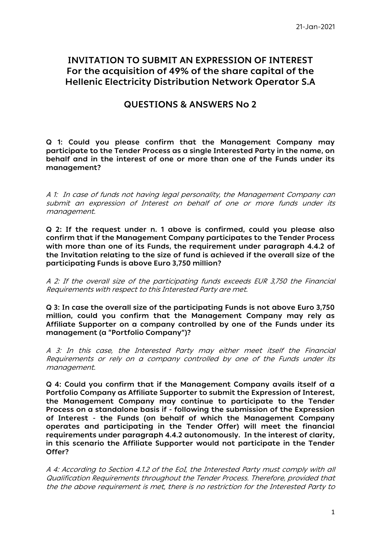# **INVITATION TO SUBMIT AN EXPRESSION OF INTEREST For the acquisition of 49% of the share capital of the Hellenic Εlectricity Distribution Νetwork Operator S.A**

## **QUESTIONS & ANSWERS No 2**

**Q 1: Could you please confirm that the Management Company may participate to the Tender Process as a single Interested Party in the name, on behalf and in the interest of one or more than one of the Funds under its management?**

A 1: In case of funds not having legal personality, the Management Company can submit an expression of Interest on behalf of one or more funds under its management.

**Q 2: If the request under n. 1 above is confirmed, could you please also confirm that if the Management Company participates to the Tender Process with more than one of its Funds, the requirement under paragraph 4.4.2 of the Invitation relating to the size of fund is achieved if the overall size of the participating Funds is above Euro 3,750 million?**

A 2: If the overall size of the participating funds exceeds EUR 3,750 the Financial Requirements with respect to this Interested Party are met.

**Q 3: In case the overall size of the participating Funds is not above Euro 3,750 million, could you confirm that the Management Company may rely as Affiliate Supporter on a company controlled by one of the Funds under its management (a "Portfolio Company")?**

A 3: In this case, the Interested Party may either meet itself the Financial Requirements or rely on a company controlled by one of the Funds under its management.

**Q 4: Could you confirm that if the Management Company avails itself of a Portfolio Company as Affiliate Supporter to submit the Expression of Interest, the Management Company may continue to participate to the Tender Process on a standalone basis if - following the submission of the Expression of Interest - the Funds (on behalf of which the Management Company operates and participating in the Tender Offer) will meet the financial requirements under paragraph 4.4.2 autonomously. In the interest of clarity, in this scenario the Affiliate Supporter would not participate in the Tender Offer?**

A 4: According to Section 4.1.2 of the EoI, the Interested Party must comply with all Qualification Requirements throughout the Tender Process. Therefore, provided that the the above requirement is met, there is no restriction for the Interested Party to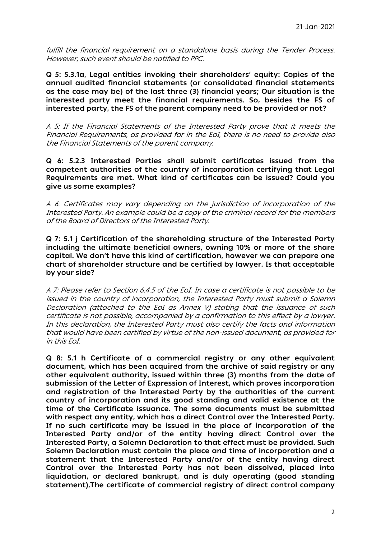fulfill the financial requirement on a standalone basis during the Tender Process. However, such event should be notified to PPC.

**Q 5: 5.3.1a, Legal entities invoking their shareholders' equity: Copies of the annual audited financial statements (or consolidated financial statements as the case may be) of the last three (3) financial years; Our situation is the interested party meet the financial requirements. So, besides the FS of interested party, the FS of the parent company need to be provided or not?**

A 5: If the Financial Statements of the Interested Party prove that it meets the Financial Requirements, as provided for in the EoI, there is no need to provide also the Financial Statements of the parent company.

**Q 6: 5.2.3 Interested Parties shall submit certificates issued from the competent authorities of the country of incorporation certifying that Legal Requirements are met. What kind of certificates can be issued? Could you give us some examples?**

A 6: Certificates may vary depending on the jurisdiction of incorporation of the Interested Party. An example could be a copy of the criminal record for the members of the Board of Directors of the Interested Party.

**Q 7: 5.1 j Certification of the shareholding structure of the Interested Party including the ultimate beneficial owners, owning 10% or more of the share capital. We don't have this kind of certification, however we can prepare one chart of shareholder structure and be certified by lawyer. Is that acceptable by your side?**

A 7: Please refer to Section 6.4.5 of the EoI. In case a certificate is not possible to be issued in the country of incorporation, the Interested Party must submit a Solemn Declaration (attached to the EoI as Annex V) stating that the issuance of such certificate is not possible, accompanied by a confirmation to this effect by a lawyer. In this declaration, the Interested Party must also certify the facts and information that would have been certified by virtue of the non-issued document, as provided for in this EoI.

**Q 8: 5.1 h Certificate of a commercial registry or any other equivalent document, which has been acquired from the archive of said registry or any other equivalent authority, issued within three (3) months from the date of submission of the Letter of Expression of Interest, which proves incorporation and registration of the Interested Party by the authorities of the current country of incorporation and its good standing and valid existence at the time of the Certificate issuance. The same documents must be submitted with respect any entity, which has a direct Control over the Interested Party. If no such certificate may be issued in the place of incorporation of the Interested Party and/or of the entity having direct Control over the Interested Party, a Solemn Declaration to that effect must be provided. Such Solemn Declaration must contain the place and time of incorporation and a statement that the Interested Party and/or of the entity having direct Control over the Interested Party has not been dissolved, placed into liquidation, or declared bankrupt, and is duly operating (good standing statement),The certificate of commercial registry of direct control company**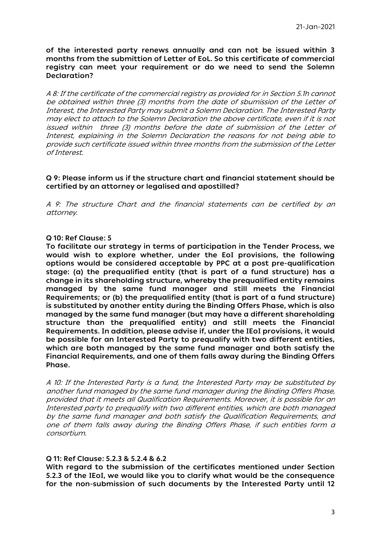**of the interested party renews annually and can not be issued within 3 months from the submittion of Letter of EoL. So this certificate of commercial registry can meet your requirement or do we need to send the Solemn Declaration?**

A 8: If the certificate of the commercial registry as provided for in Section 5.1h cannot be obtained within three (3) months from the date of sbumission of the Letter of Interest, the Interested Party may submit a Solemn Declaration. The Interested Party may elect to attach to the Solemn Declaration the above certificate, even if it is not issued within three (3) months before the date of submission of the Letter of Interest, explaining in the Solemn Declaration the reasons for not being able to provide such certificate issued within three months from the submission of the Letter of Interest.

#### **Q 9: Please inform us if the structure chart and financial statement should be certified by an attorney or legalised and apostilled?**

A 9: The structure Chart and the financial statements can be certified by an attorney.

#### **Q 10: Ref Clause: 5**

**To facilitate our strategy in terms of participation in the Tender Process, we would wish to explore whether, under the EoI provisions, the following options would be considered acceptable by PPC at a post pre-qualification stage: (a) the prequalified entity (that is part of a fund structure) has a change in its shareholding structure, whereby the prequalified entity remains managed by the same fund manager and still meets the Financial Requirements; or (b) the prequalified entity (that is part of a fund structure) is substituted by another entity during the Binding Offers Phase, which is also managed by the same fund manager (but may have a different shareholding structure than the prequalified entity) and still meets the Financial Requirements. In addition, please advise if, under the IEoI provisions, it would be possible for an Interested Party to prequalify with two different entities, which are both managed by the same fund manager and both satisfy the Financial Requirements, and one of them falls away during the Binding Offers Phase.**

A 10: If the Interested Party is a fund, the Interested Party may be substituted by another fund managed by the same fund manager during the Binding Offers Phase, provided that it meets all Qualification Requirements. Moreover, it is possible for an Interested party to prequalify with two different entities, which are both managed by the same fund manager and both satisfy the Qualification Requirements, and one of them falls away during the Binding Offers Phase, if such entities form a consortium.

### **Q 11: Ref Clause: 5.2.3 & 5.2.4 & 6.2**

**With regard to the submission of the certificates mentioned under Section 5.2.3 of the IEoI, we would like you to clarify what would be the consequence for the non-submission of such documents by the Interested Party until 12**